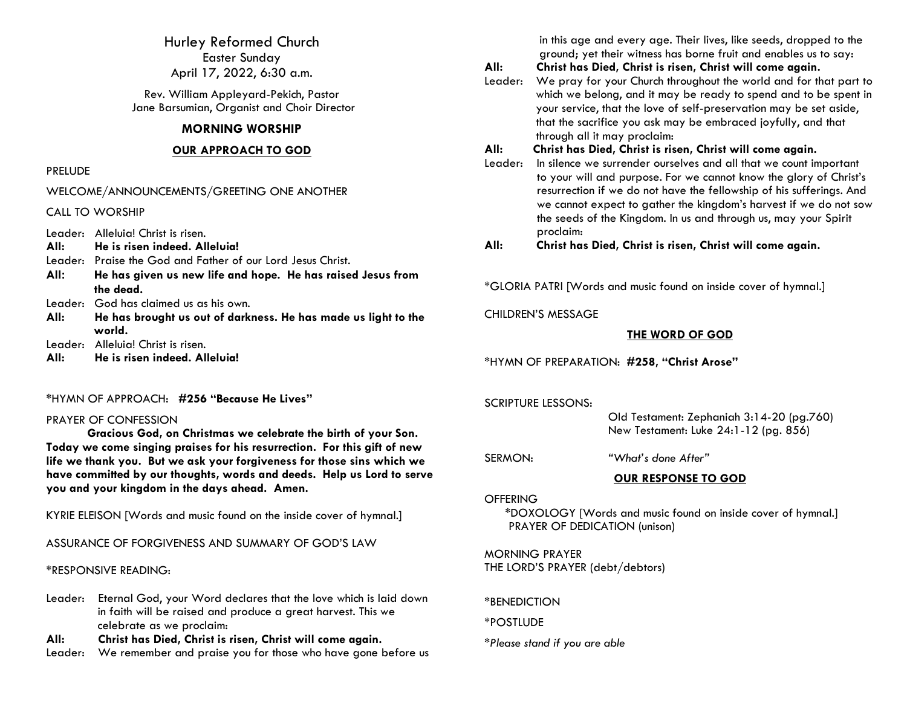Hurley Reformed Church Easter Sunday April 17, 2022, 6:30 a.m.

Rev. William Appleyard-Pekich, Pastor Jane Barsumian, Organist and Choir Director

# **MORNING WORSHIP**

## **OUR APPROACH TO GOD**

### PRELUDE

WELCOME/ANNOUNCEMENTS/GREETING ONE ANOTHER

CALL TO WORSHIP

Leader: Alleluia! Christ is risen.

- **All: He is risen indeed. Alleluia!**
- Leader:Praise the God and Father of our Lord Jesus Christ.
- **All: He has given us new life and hope. He has raised Jesus from the dead.**
- Leader:God has claimed us as his own.
- **All: He has brought us out of darkness. He has made us light to the world.**
- Leader: Alleluia! Christ is risen.
- **All: He is risen indeed. Alleluia!**

# \*HYMN OF APPROACH: **#256 "Because He Lives"**

### PRAYER OF CONFESSION

**Gracious God, on Christmas we celebrate the birth of your Son. Today we come singing praises for his resurrection. For this gift of new life we thank you. But we ask your forgiveness for those sins which we have committed by our thoughts, words and deeds. Help us Lord to serve you and your kingdom in the days ahead. Amen.**

KYRIE ELEISON [Words and music found on the inside cover of hymnal.]

ASSURANCE OF FORGIVENESS AND SUMMARY OF GOD'S LAW

# \*RESPONSIVE READING:

Leader: Eternal God, your Word declares that the love which is laid down in faith will be raised and produce a great harvest. This we celebrate as we proclaim:

**All: Christ has Died, Christ is risen, Christ will come again.**

Leader:We remember and praise you for those who have gone before us

in this age and every age. Their lives, like seeds, dropped to the ground; yet their witness has borne fruit and enables us to say:

# **All: Christ has Died, Christ is risen, Christ will come again.**

Leader:We pray for your Church throughout the world and for that part to which we belong, and it may be ready to spend and to be spent in your service, that the love of self-preservation may be set aside, that the sacrifice you ask may be embraced joyfully, and that through all it may proclaim:

# **All: Christ has Died, Christ is risen, Christ will come again.**

Leader: In silence we surrender ourselves and all that we count important to your will and purpose. For we cannot know the glory of Christ's resurrection if we do not have the fellowship of his sufferings. And we cannot expect to gather the kingdom's harvest if we do not sow the seeds of the Kingdom. In us and through us, may your Spirit proclaim:

**All: Christ has Died, Christ is risen, Christ will come again.**

\*GLORIA PATRI [Words and music found on inside cover of hymnal.]

CHILDREN'S MESSAGE

# **THE WORD OF GOD**

\*HYMN OF PREPARATION: **#258, "Christ Arose"**

# SCRIPTURE LESSONS:

 Old Testament: Zephaniah 3:14-20 (pg.760) New Testament: Luke 24:1-12 (pg. 856)

SERMON: *"What's done After"*

# **OUR RESPONSE TO GOD**

# **OFFERING**

\*DOXOLOGY [Words and music found on inside cover of hymnal.] PRAYER OF DEDICATION (unison)

MORNING PRAYER THE LORD'S PRAYER (debt/debtors)

\*BENEDICTION

\*POSTLUDE

*\*Please stand if you are able*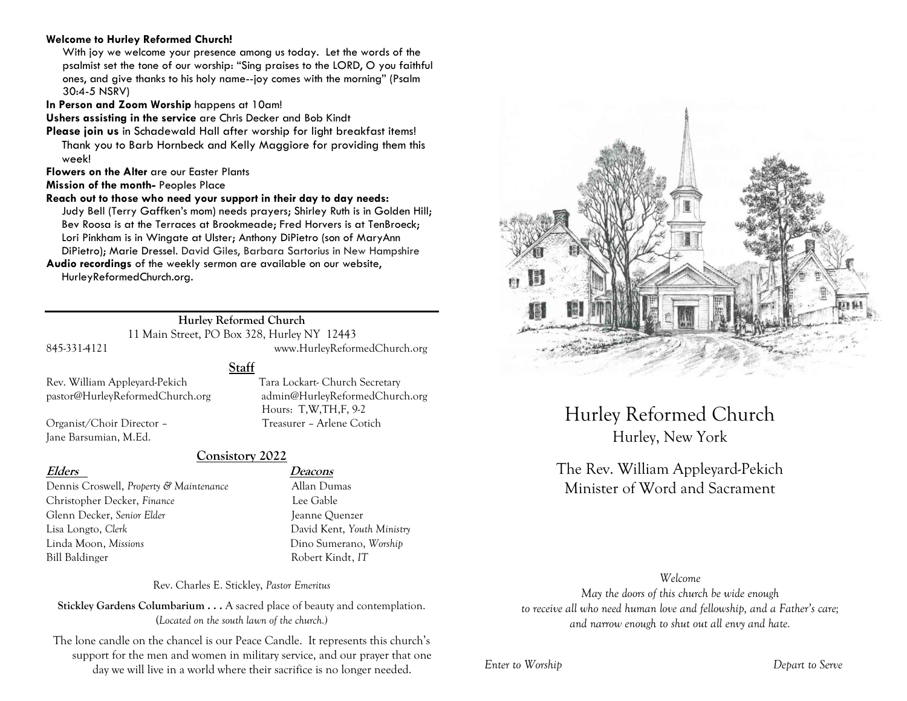#### **Welcome to Hurley Reformed Church!**

With joy we welcome your presence among us today. Let the words of the psalmist set the tone of our worship: "Sing praises to the LORD, O you faithful ones, and give thanks to his holy name--joy comes with the morning" (Psalm 30:4-5 NSRV)

**In Person and Zoom Worship** happens at 10am!

**Ushers assisting in the service** are Chris Decker and Bob Kindt

**Please join us** in Schadewald Hall after worship for light breakfast items! Thank you to Barb Hornbeck and Kelly Maggiore for providing them this week!

**Flowers on the Alter** are our Easter Plants

**Mission of the month-** Peoples Place

#### **Reach out to those who need your support in their day to day needs:**

Judy Bell (Terry Gaffken's mom) needs prayers; Shirley Ruth is in Golden Hill; Bev Roosa is at the Terraces at Brookmeade; Fred Horvers is at TenBroeck; Lori Pinkham is in Wingate at Ulster; Anthony DiPietro (son of MaryAnn DiPietro); Marie Dressel. David Giles, Barbara Sartorius in New Hampshire

**Audio recordings** of the weekly sermon are available on our website, HurleyReformedChurch.org.

# **Hurley Reformed Church**

11 Main Street, PO Box 328, Hurley NY 12443 845-331-4121 www.HurleyReformedChurch.org

# **Staff**

Rev. William Appleyard-Pekich Tara Lockart- Church Secretary pastor@HurleyReformedChurch.org admin@HurleyReformedChurch.org

Organist/Choir Director – Treasurer – Arlene Cotich Jane Barsumian, M.Ed.

**Consistory 2022**

Dennis Croswell, *Property & Maintenance* Allan Dumas Christopher Decker, *Finance* Lee Gable Glenn Decker, *Senior Elder* Jeanne Quenzer Lisa Longto, *Clerk* David Kent, *Youth Ministry* Linda Moon, *Missions* Dino Sumerano, *Worship* Bill Baldinger Robert Kindt, *IT*

#### **Elders Deacons**

Hours: T,W,TH,F, 9-2

Rev. Charles E. Stickley, *Pastor Emeritus*

**Stickley Gardens Columbarium . . .** A sacred place of beauty and contemplation. (*Located on the south lawn of the church.)* 

The lone candle on the chancel is our Peace Candle. It represents this church's support for the men and women in military service, and our prayer that one day we will live in a world where their sacrifice is no longer needed.



Hurley Reformed Church Hurley, New York

# The Rev. William Appleyard-Pekich Minister of Word and Sacrament

#### *Welcome*

*May the doors of this church be wide enough to receive all who need human love and fellowship, and a Father's care; and narrow enough to shut out all envy and hate.*

*Enter to Worship Depart to Serve*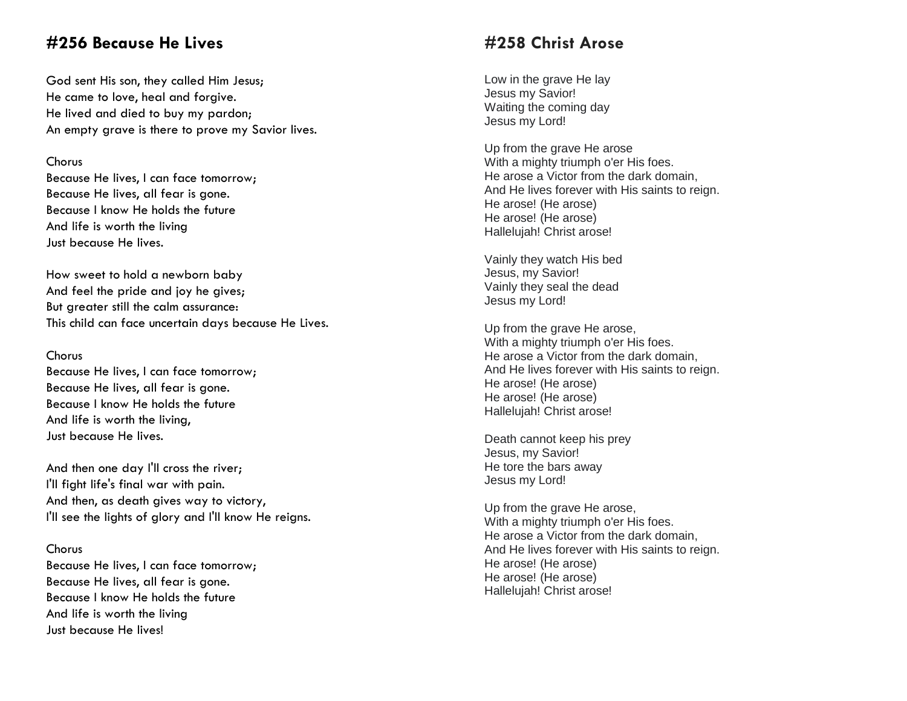# **#256 Because He Lives**

God sent His son, they called Him Jesus; He came to love, heal and forgive. He lived and died to buy my pardon; An empty grave is there to prove my Savior lives.

# Chorus

Because He lives, I can face tomorrow; Because He lives, all fear is gone. Because I know He holds the future And life is worth the living Just because He lives.

How sweet to hold a newborn baby And feel the pride and joy he gives; But greater still the calm assurance: This child can face uncertain days because He Lives.

# Chorus

Because He lives, I can face tomorrow; Because He lives, all fear is gone. Because I know He holds the future And life is worth the living, Just because He lives.

And then one day I'll cross the river; I'll fight life's final war with pain. And then, as death gives way to victory, I'll see the lights of glory and I'll know He reigns.

# Chorus

Because He lives, I can face tomorrow; Because He lives, all fear is gone. Because I know He holds the future And life is worth the living Just because He lives!

# **#258 Christ Arose**

Low in the grave He lay Jesus my Savior! Waiting the coming day Jesus my Lord!

Up from the grave He arose With a mighty triumph o'er His foes . He arose a Victor from the dark domain , And He lives forever with His saints to reign . He arose! (He arose) He arose! (He arose) Hallelujah! Christ arose!

Vainly they watch His bed Jesus, my Savior! Vainly they seal the dead Jesus my Lord!

Up from the grave He arose , With a mighty triumph o'er His foes . He arose a Victor from the dark domain , And He lives forever with His saints to reign . He arose! (He arose) He arose! (He arose) Hallelujah! Christ arose!

Death cannot keep his prey Jesus, my Savior! He tore the bars away Jesus my Lord!

Up from the grave He arose , With a mighty triumph o'er His foes . He arose a Victor from the dark domain , And He lives forever with His saints to reign . He arose! (He arose) He arose! (He arose) Hallelujah! Christ arose!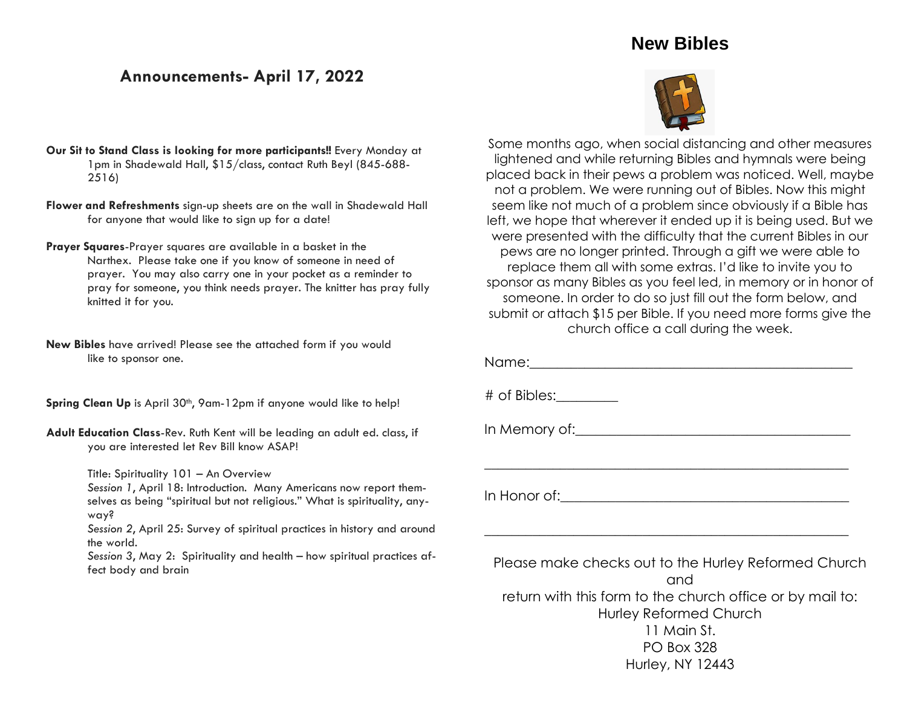# **New Bibles**

# **Announcements- April 17, 2022**

- **Our Sit to Stand Class is looking for more participants!!** Every Monday at 1pm in Shadewald Hall, \$15/class, contact Ruth Beyl (845-688- 2516)
- **Flower and Refreshments** sign-up sheets are on the wall in Shadewald Hall for anyone that would like to sign up for a date!
- **Prayer Squares**-Prayer squares are available in a basket in the Narthex. Please take one if you know of someone in need of prayer. You may also carry one in your pocket as a reminder to pray for someone, you think needs prayer. The knitter has pray fully knitted it for you.
- **New Bibles** have arrived! Please see the attached form if you would like to sponsor one.
- Spring Clean Up is April 30<sup>th</sup>, 9am-12pm if anyone would like to help!
- **Adult Education Class**-Rev. Ruth Kent will be leading an adult ed. class, if you are interested let Rev Bill know ASAP!
	- Title: Spirituality 101 An Overview
	- *Session 1*, April 18: Introduction. Many Americans now report themselves as being "spiritual but not religious." What is spirituality, anyway?
	- *Session 2*, April 25: Survey of spiritual practices in history and around the world.
	- *Session 3*, May 2: Spirituality and health how spiritual practices affect body and brain



Some months ago, when social distancing and other measures lightened and while returning Bibles and hymnals were being placed back in their pews a problem was noticed. Well, maybe not a problem. We were running out of Bibles. Now this might seem like not much of a problem since obviously if a Bible has left, we hope that wherever it ended up it is being used. But we were presented with the difficulty that the current Bibles in our pews are no longer printed. Through a gift we were able to replace them all with some extras. I'd like to invite you to sponsor as many Bibles as you feel led, in memory or in honor of someone. In order to do so just fill out the form below, and submit or attach \$15 per Bible. If you need more forms give the church office a call during the week.

| # of Bibles:________                                      |
|-----------------------------------------------------------|
|                                                           |
|                                                           |
|                                                           |
|                                                           |
| Please make checks out to the Hurley Reformed Church      |
| and                                                       |
| return with this form to the church office or by mail to: |
| <b>Hurley Reformed Church</b>                             |
| 11 Main St.                                               |
| <b>PO Box 328</b>                                         |
| Hurley, NY 12443                                          |